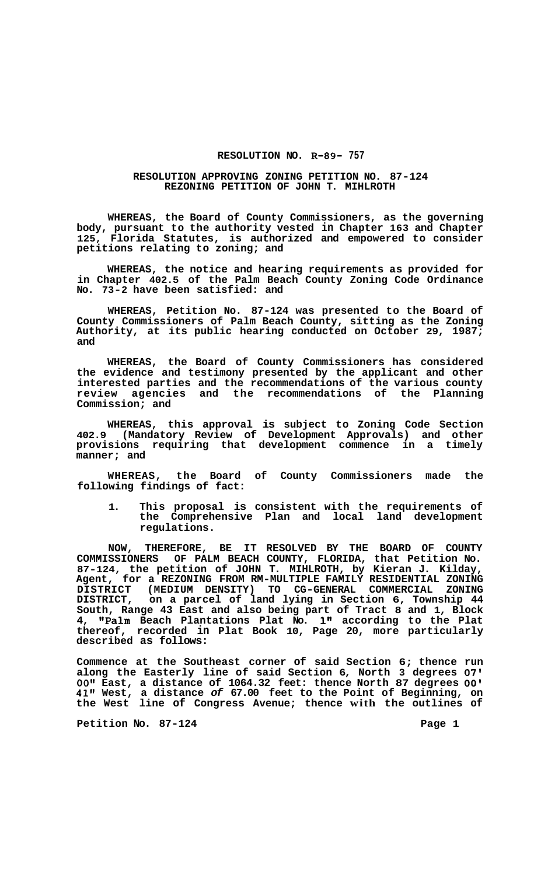## **RESOLUTION NO. R-89- 757**

## **RESOLUTION APPROVING ZONING PETITION NO. 87-124 REZONING PETITION OF JOHN T. MIHLROTH**

**WHEREAS, the Board of County Commissioners, as the governing body, pursuant to the authority vested in Chapter 163 and Chapter 125, Florida Statutes, is authorized and empowered to consider petitions relating to zoning; and** 

**WHEREAS, the notice and hearing requirements as provided for in Chapter 402.5 of the Palm Beach County Zoning Code Ordinance No. 73-2 have been satisfied: and** 

**WHEREAS, Petition No. 87-124 was presented to the Board of County Commissioners of Palm Beach County, sitting as the Zoning Authority, at its public hearing conducted on October 29, 1987; and** 

**WHEREAS, the Board of County Commissioners has considered the evidence and testimony presented by the applicant and other interested parties and the recommendations of the various county review agencies and the recommendations of the Planning Commission; and** 

**WHEREAS, this approval is subject to Zoning Code Section 402.9 (Mandatory Review of Development Approvals) and other provisions requiring that development commence in a timely manner; and** 

**WHEREAS, the Board of County Commissioners made the following findings of fact:** 

**1. This proposal is consistent with the requirements of the Comprehensive Plan and local land development regulations.** 

**NOW, THEREFORE, BE IT RESOLVED BY THE BOARD OF COUNTY COMMISSIONERS OF PALM BEACH COUNTY, FLORIDA, that Petition No. 87-124, the petition of JOHN T. MIHLROTH, by Kieran J. Kilday, Agent, for a REZONING FROM RM-MULTIPLE FAMILY RESIDENTIAL ZONING DISTRICT, on a parcel of land lying in Section 6, Township 44 South, Range 43 East and also being part of Tract 8 and 1, Block 4, I'Palm Beach Plantations Plat No. 1" according to the Plat thereof, recorded in Plat Book 10, Page 20, more particularly described as follows: DISTRICT (MEDIUM DENSITY) TO CG-GENERAL COMMERCIAL ZONING** 

**Commence at the Southeast corner of said Section 6; thence run along the Easterly line of said Section 6, North 3 degrees** *07'*  **0O1' East, a distance of 1064.32 feet: thence North 87 degrees** *00'*  **41" West, a distance** *of* **67.00 feet to the Point of Beginning, on the West line of Congress Avenue; thence with the outlines of** 

**Petition No. 87-124** Page 1